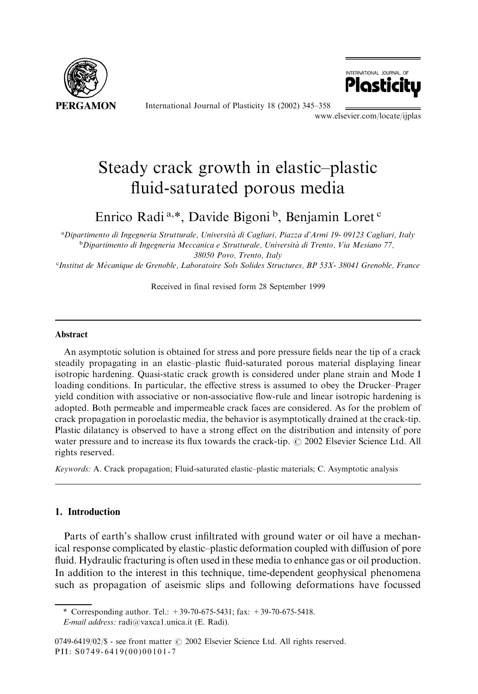

International Journal of Plasticity 18 (2002) 345-358



www.elsevier.com/locate/ijplas

# Steady crack growth in elastic-plastic fluid-saturated porous media

Enrico Radi<sup>a,\*</sup>, Davide Bigoni<sup>b</sup>, Benjamin Loret<sup>c</sup>

aDipartimento di Ingegneria Strutturale, Università di Cagliari, Piazza d'Armi 19-09123 Cagliari, Italy <sup>b</sup>Dipartimento di Ingegneria Meccanica e Strutturale, Università di Trento, Via Mesiano 77, 38050 Povo, Trento, Italy

<sup>c</sup>Institut de Mécanique de Grenoble, Laboratoire Sols Solides Structures, BP 53X- 38041 Grenoble, France

Received in final revised form 28 September 1999

#### **Abstract**

An asymptotic solution is obtained for stress and pore pressure fields near the tip of a crack steadily propagating in an elastic-plastic fluid-saturated porous material displaying linear isotropic hardening. Quasi-static crack growth is considered under plane strain and Mode I loading conditions. In particular, the effective stress is assumed to obey the Drucker-Prager yield condition with associative or non-associative flow-rule and linear isotropic hardening is adopted. Both permeable and impermeable crack faces are considered. As for the problem of crack propagation in poroelastic media, the behavior is asymptotically drained at the crack-tip. Plastic dilatancy is observed to have a strong effect on the distribution and intensity of pore water pressure and to increase its flux towards the crack-tip. © 2002 Elsevier Science Ltd. All rights reserved.

Keywords: A. Crack propagation; Fluid-saturated elastic-plastic materials; C. Asymptotic analysis

# 1. Introduction

Parts of earth's shallow crust infiltrated with ground water or oil have a mechanical response complicated by elastic-plastic deformation coupled with diffusion of pore fluid. Hydraulic fracturing is often used in these media to enhance gas or oil production. In addition to the interest in this technique, time-dependent geophysical phenomena such as propagation of assismic slips and following deformations have focussed

<sup>\*</sup> Corresponding author. Tel.:  $+39-70-675-5431$ ; fax:  $+39-70-675-5418$ .

E-mail address: radi@vaxca1.unica.it (E. Radi).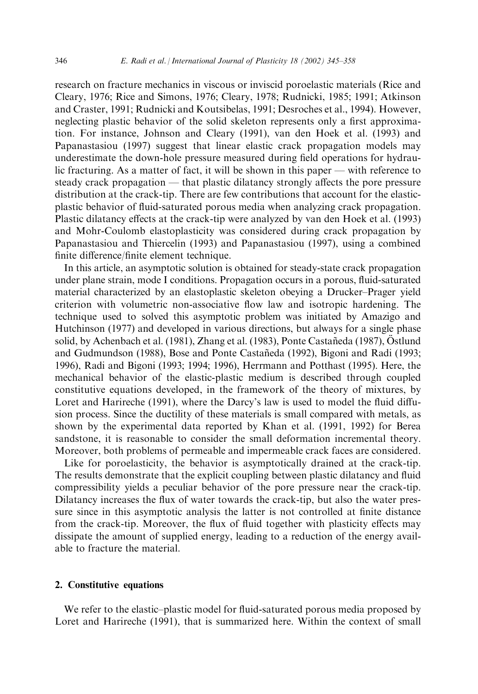research on fracture mechanics in viscous or inviscid poroelastic materials (Rice and Cleary, 1976; Rice and Simons, 1976; Cleary, 1978; Rudnicki, 1985; 1991; Atkinson and Craster, 1991; Rudnicki and Koutsibelas, 1991; Desroches et al., 1994). However, neglecting plastic behavior of the solid skeleton represents only a first approximation. For instance, Johnson and Cleary (1991), van den Hoek et al. (1993) and Papanastasiou (1997) suggest that linear elastic crack propagation models may underestimate the down-hole pressure measured during field operations for hydraulic fracturing. As a matter of fact, it will be shown in this paper — with reference to steady crack propagation — that plastic dilatancy strongly affects the pore pressure distribution at the crack-tip. There are few contributions that account for the elasticplastic behavior of fluid-saturated porous media when analyzing crack propagation. Plastic dilatancy effects at the crack-tip were analyzed by van den Hoek et al. (1993) and Mohr-Coulomb elastoplasticity was considered during crack propagation by Papanastasiou and Thiercelin (1993) and Papanastasiou (1997), using a combined finite difference/finite element technique.

In this article, an asymptotic solution is obtained for steady-state crack propagation under plane strain, mode I conditions. Propagation occurs in a porous, fluid-saturated material characterized by an elastoplastic skeleton obeying a Drucker–Prager yield criterion with volumetric non-associative flow law and isotropic hardening. The technique used to solved this asymptotic problem was initiated by Amazigo and Hutchinson (1977) and developed in various directions, but always for a single phase solid, by Achenbach et al. (1981), Zhang et al. (1983), Ponte Castañeda (1987), Östlund and Gudmundson (1988), Bose and Ponte Castañeda (1992), Bigoni and Radi (1993; 1996), Radi and Bigoni (1993; 1994; 1996), Herrmann and Potthast (1995). Here, the mechanical behavior of the elastic-plastic medium is described through coupled constitutive equations developed, in the framework of the theory of mixtures, by Loret and Harireche (1991), where the Darcy's law is used to model the fluid diffusion process. Since the ductility of these materials is small compared with metals, as shown by the experimental data reported by Khan et al. (1991, 1992) for Berea sandstone, it is reasonable to consider the small deformation incremental theory. Moreover, both problems of permeable and impermeable crack faces are considered.

Like for poroelasticity, the behavior is asymptotically drained at the crack-tip. The results demonstrate that the explicit coupling between plastic dilatancy and fluid compressibility yields a peculiar behavior of the pore pressure near the crack-tip. Dilatancy increases the flux of water towards the crack-tip, but also the water pressure since in this asymptotic analysis the latter is not controlled at finite distance from the crack-tip. Moreover, the flux of fluid together with plasticity effects may dissipate the amount of supplied energy, leading to a reduction of the energy available to fracture the material.

# 2. Constitutive equations

We refer to the elastic-plastic model for fluid-saturated porous media proposed by Loret and Harireche (1991), that is summarized here. Within the context of small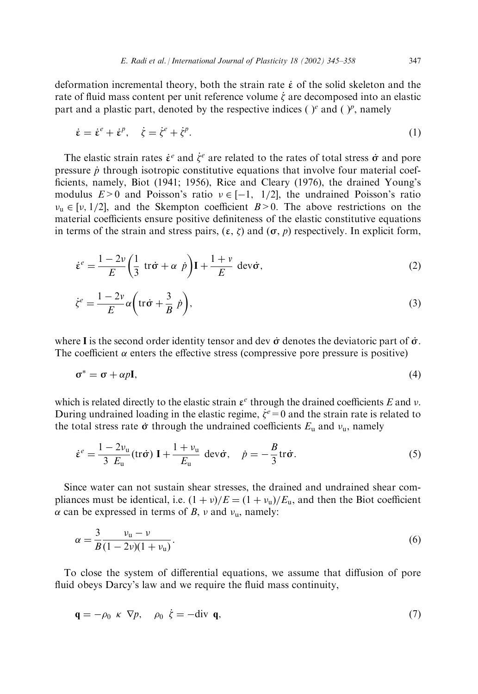deformation incremental theory, both the strain rate  $\dot{\epsilon}$  of the solid skeleton and the rate of fluid mass content per unit reference volume  $\dot{\zeta}$  are decomposed into an elastic part and a plastic part, denoted by the respective indices ( $e^e$  and ( $p^e$ , namely

$$
\dot{\varepsilon} = \dot{\varepsilon}^e + \dot{\varepsilon}^p, \quad \dot{\zeta} = \dot{\zeta}^e + \dot{\zeta}^p. \tag{1}
$$

The elastic strain rates  $\dot{\varepsilon}^e$  and  $\dot{\zeta}^e$  are related to the rates of total stress  $\dot{\sigma}$  and pore pressure  $\dot{p}$  through isotropic constitutive equations that involve four material coefficients, namely, Biot (1941; 1956), Rice and Cleary (1976), the drained Young's modulus  $E>0$  and Poisson's ratio  $v \in [-1, 1/2]$ , the undrained Poisson's ratio  $v_u \in [v, 1/2]$ , and the Skempton coefficient  $B > 0$ . The above restrictions on the material coefficients ensure positive definiteness of the elastic constitutive equations in terms of the strain and stress pairs,  $(\varepsilon, \zeta)$  and  $(\sigma, p)$  respectively. In explicit form,

$$
\dot{\varepsilon}^e = \frac{1 - 2\nu}{E} \left( \frac{1}{3} \text{ tr}\dot{\sigma} + \alpha \dot{p} \right) \mathbf{I} + \frac{1 + \nu}{E} \text{ dev}\dot{\sigma},\tag{2}
$$

$$
\dot{\zeta}^e = \frac{1 - 2v}{E} \alpha \left( \text{tr}\,\dot{\sigma} + \frac{3}{B} \dot{p} \right),\tag{3}
$$

where I is the second order identity tensor and dev  $\dot{\sigma}$  denotes the deviatoric part of  $\dot{\sigma}$ . The coefficient  $\alpha$  enters the effective stress (compressive pore pressure is positive)

$$
\sigma^* = \sigma + \alpha p \mathbf{I},\tag{4}
$$

which is related directly to the elastic strain  $\varepsilon^e$  through the drained coefficients E and v. During undrained loading in the elastic regime,  $\dot{\zeta}^e = 0$  and the strain rate is related to the total stress rate  $\dot{\sigma}$  through the undrained coefficients  $E_u$  and  $v_u$ , namely

$$
\dot{\boldsymbol{\varepsilon}}^e = \frac{1 - 2v_\mathrm{u}}{3 E_\mathrm{u}} (\mathrm{tr}\dot{\boldsymbol{\sigma}}) \mathbf{I} + \frac{1 + v_\mathrm{u}}{E_\mathrm{u}} \text{ dev}\dot{\boldsymbol{\sigma}}, \quad \dot{p} = -\frac{B}{3} \mathrm{tr}\dot{\boldsymbol{\sigma}}.\tag{5}
$$

Since water can not sustain shear stresses, the drained and undrained shear compliances must be identical, i.e.  $(1 + v)/E = (1 + v_u)/E_u$ , and then the Biot coefficient  $\alpha$  can be expressed in terms of B, v and  $v_u$ , namely:

$$
\alpha = \frac{3}{B} \frac{\nu_{\rm u} - \nu}{(1 - 2\nu)(1 + \nu_{\rm u})}.
$$
\n(6)

To close the system of differential equations, we assume that diffusion of pore fluid obeys Darcy's law and we require the fluid mass continuity,

$$
\mathbf{q} = -\rho_0 \ \kappa \ \nabla p, \quad \rho_0 \ \dot{\zeta} = -\text{div } \mathbf{q}, \tag{7}
$$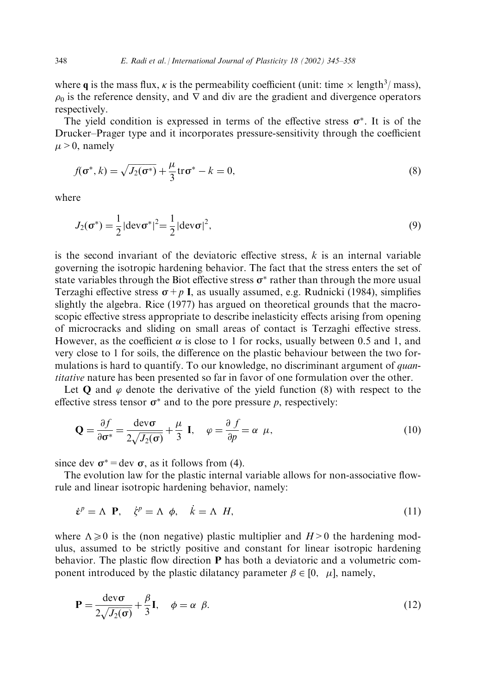where q is the mass flux,  $\kappa$  is the permeability coefficient (unit: time  $\times$  length<sup>3</sup>/ mass),  $\rho_0$  is the reference density, and  $\nabla$  and div are the gradient and divergence operators respectively.

The yield condition is expressed in terms of the effective stress  $\sigma^*$ . It is of the Drucker–Prager type and it incorporates pressure-sensitivity through the coefficient  $\mu > 0$ , namely

$$
f(\sigma^*, k) = \sqrt{J_2(\sigma^*)} + \frac{\mu}{3} \text{tr}\sigma^* - k = 0,
$$
\n(8)

where

$$
J_2(\sigma^*) = \frac{1}{2} |\text{dev}\,\sigma^*|^2 = \frac{1}{2} |\text{dev}\,\sigma|^2,
$$
\n(9)

is the second invariant of the deviatoric effective stress,  $k$  is an internal variable governing the isotropic hardening behavior. The fact that the stress enters the set of state variables through the Biot effective stress  $\sigma^*$  rather than through the more usual Terzaghi effective stress  $\sigma + p$  I, as usually assumed, e.g. Rudnicki (1984), simplifies slightly the algebra. Rice (1977) has argued on theoretical grounds that the macroscopic effective stress appropriate to describe inelasticity effects arising from opening of microcracks and sliding on small areas of contact is Terzaghi effective stress. However, as the coefficient  $\alpha$  is close to 1 for rocks, usually between 0.5 and 1, and very close to 1 for soils, the difference on the plastic behaviour between the two formulations is hard to quantify. To our knowledge, no discriminant argument of *quantitative* nature has been presented so far in favor of one formulation over the other.

Let Q and  $\varphi$  denote the derivative of the yield function (8) with respect to the effective stress tensor  $\sigma^*$  and to the pore pressure p, respectively:

$$
\mathbf{Q} = \frac{\partial f}{\partial \sigma^*} = \frac{\text{dev}\,\sigma}{2\sqrt{J_2(\sigma)}} + \frac{\mu}{3} \mathbf{I}, \quad \varphi = \frac{\partial f}{\partial p} = \alpha \ \mu,
$$
\n(10)

since dev  $\sigma^*$  = dev  $\sigma$ , as it follows from (4).

The evolution law for the plastic internal variable allows for non-associative flowrule and linear isotropic hardening behavior, namely:

$$
\dot{\varepsilon}^p = \Lambda \ \mathbf{P}, \quad \dot{\zeta}^p = \Lambda \ \phi, \quad \dot{k} = \Lambda \ H, \tag{11}
$$

where  $\Lambda \geq 0$  is the (non negative) plastic multiplier and  $H > 0$  the hardening modulus, assumed to be strictly positive and constant for linear isotropic hardening behavior. The plastic flow direction P has both a deviatoric and a volumetric component introduced by the plastic dilatancy parameter  $\beta \in [0, \mu]$ , namely,

$$
\mathbf{P} = \frac{\text{dev}\,\sigma}{2\sqrt{J_2(\sigma)}} + \frac{\beta}{3}\mathbf{I}, \quad \phi = \alpha \ \beta. \tag{12}
$$

348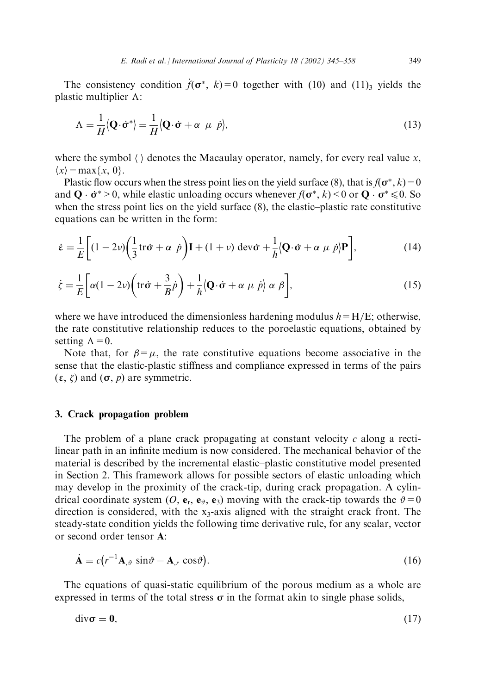The consistency condition  $\hat{f}(\sigma^*, k) = 0$  together with (10) and (11), yields the plastic multiplier  $\Lambda$ :

$$
\Lambda = \frac{1}{H} \langle \mathbf{Q} \cdot \dot{\mathbf{\sigma}}^* \rangle = \frac{1}{H} \langle \mathbf{Q} \cdot \dot{\mathbf{\sigma}} + \alpha \ \mu \ \dot{p} \rangle, \tag{13}
$$

where the symbol  $\langle \rangle$  denotes the Macaulay operator, namely, for every real value x,  $\langle x \rangle$  = max $\{x, 0\}$ .

Plastic flow occurs when the stress point lies on the yield surface (8), that is  $f(\sigma^*, k) = 0$ and  $\mathbf{Q} \cdot \dot{\sigma}^* > 0$ , while elastic unloading occurs whenever  $f(\sigma^*, k) < 0$  or  $\mathbf{Q} \cdot \sigma^* \le 0$ . So when the stress point lies on the yield surface  $(8)$ , the elastic-plastic rate constitutive equations can be written in the form:

$$
\dot{\varepsilon} = \frac{1}{E} \bigg[ (1 - 2\nu) \bigg( \frac{1}{3} \text{tr}\,\dot{\sigma} + \alpha \, \dot{p} \bigg) \mathbf{I} + (1 + \nu) \, \text{dev}\,\dot{\sigma} + \frac{1}{h} \bigg( \mathbf{Q} \cdot \dot{\sigma} + \alpha \, \mu \, \dot{p} \bigg) \mathbf{P} \bigg],\tag{14}
$$

$$
\dot{\zeta} = \frac{1}{E} \bigg[ \alpha (1 - 2\nu) \bigg( \text{tr}\,\dot{\boldsymbol{\sigma}} + \frac{3}{B} \dot{p} \bigg) + \frac{1}{h} \langle \mathbf{Q} \cdot \dot{\boldsymbol{\sigma}} + \alpha \ \mu \ \dot{p} \rangle \alpha \ \beta \bigg],\tag{15}
$$

where we have introduced the dimensionless hardening modulus  $h = H/E$ ; otherwise, the rate constitutive relationship reduces to the poroelastic equations, obtained by setting  $\Lambda = 0$ .

Note that, for  $\beta = \mu$ , the rate constitutive equations become associative in the sense that the elastic-plastic stiffness and compliance expressed in terms of the pairs  $(\varepsilon, \zeta)$  and  $(\sigma, p)$  are symmetric.

# 3. Crack propagation problem

The problem of a plane crack propagating at constant velocity  $c$  along a rectilinear path in an infinite medium is now considered. The mechanical behavior of the material is described by the incremental elastic-plastic constitutive model presented in Section 2. This framework allows for possible sectors of elastic unloading which may develop in the proximity of the crack-tip, during crack propagation. A cylindrical coordinate system (O, e<sub>r</sub>, e<sub> $\vartheta$ </sub>, e<sub>3</sub>) moving with the crack-tip towards the  $\vartheta = 0$ direction is considered, with the  $x_3$ -axis aligned with the straight crack front. The steady-state condition yields the following time derivative rule, for any scalar, vector or second order tensor A:

$$
\dot{\mathbf{A}} = c(r^{-1}\mathbf{A}_{,\vartheta} \sin \vartheta - \mathbf{A}_{,r} \cos \vartheta). \tag{16}
$$

The equations of quasi-static equilibrium of the porous medium as a whole are expressed in terms of the total stress  $\sigma$  in the format akin to single phase solids,

$$
div\sigma = 0, \tag{17}
$$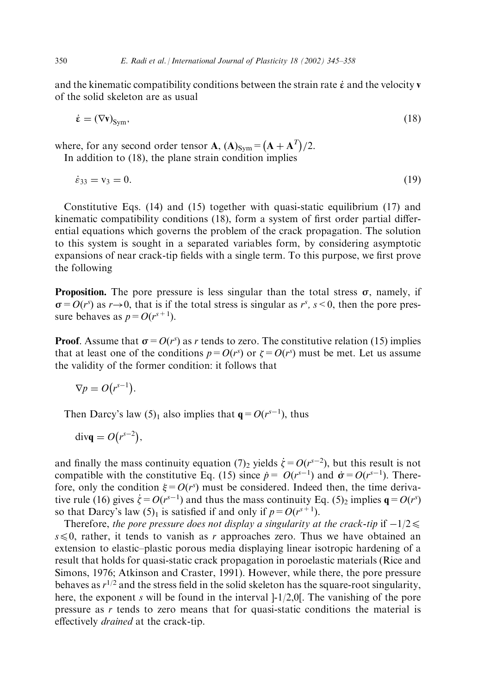and the kinematic compatibility conditions between the strain rate  $\dot{\epsilon}$  and the velocity v of the solid skeleton are as usual

$$
\dot{\varepsilon} = (\nabla \mathbf{v})_{\text{Sym}},\tag{18}
$$

where, for any second order tensor **A**,  $(A)_{Sym} = (A + A^{T})/2$ . In addition to  $(18)$ , the plane strain condition implies

 $\dot{\varepsilon}_{33} = v_3 = 0.$  $(19)$ 

Constitutive Eqs. (14) and (15) together with quasi-static equilibrium (17) and kinematic compatibility conditions (18), form a system of first order partial differential equations which governs the problem of the crack propagation. The solution to this system is sought in a separated variables form, by considering asymptotic expansions of near crack-tip fields with a single term. To this purpose, we first prove the following

**Proposition.** The pore pressure is less singular than the total stress  $\sigma$ , namely, if  $\sigma = O(r^s)$  as  $r \rightarrow 0$ , that is if the total stress is singular as  $r^s$ ,  $s < 0$ , then the pore pressure behaves as  $p = O(r^{s+1})$ .

**Proof.** Assume that  $\sigma = O(r^s)$  as r tends to zero. The constitutive relation (15) implies that at least one of the conditions  $p = O(r^s)$  or  $\zeta = O(r^s)$  must be met. Let us assume the validity of the former condition: it follows that

$$
\nabla p = O(r^{s-1}).
$$

Then Darcy's law (5)<sub>1</sub> also implies that  $q = O(r^{s-1})$ , thus

$$
\operatorname{div}\mathbf{q}=O(r^{s-2}),
$$

and finally the mass continuity equation (7)<sub>2</sub> yields  $\dot{\zeta} = O(r^{s-2})$ , but this result is not compatible with the constitutive Eq. (15) since  $\dot{p} = O(r^{s-1})$  and  $\dot{\sigma} = O(r^{s-1})$ . Therefore, only the condition  $\xi = O(r^s)$  must be considered. Indeed then, the time derivative rule (16) gives  $\dot{\zeta} = O(r^{s-1})$  and thus the mass continuity Eq. (5)<sub>2</sub> implies  $\mathbf{q} = O(r^s)$ so that Darcy's law  $(5)_1$  is satisfied if and only if  $p = O(r^{s+1})$ .

Therefore, the pore pressure does not display a singularity at the crack-tip if  $-1/2 \leq$  $s \le 0$ , rather, it tends to vanish as r approaches zero. Thus we have obtained an extension to elastic-plastic porous media displaying linear isotropic hardening of a result that holds for quasi-static crack propagation in poroelastic materials (Rice and Simons, 1976; Atkinson and Craster, 1991). However, while there, the pore pressure behaves as  $r^{1/2}$  and the stress field in the solid skeleton has the square-root singularity, here, the exponent s will be found in the interval  $-1/2,0$ . The vanishing of the pore pressure as  $r$  tends to zero means that for quasi-static conditions the material is effectively *drained* at the crack-tip.

350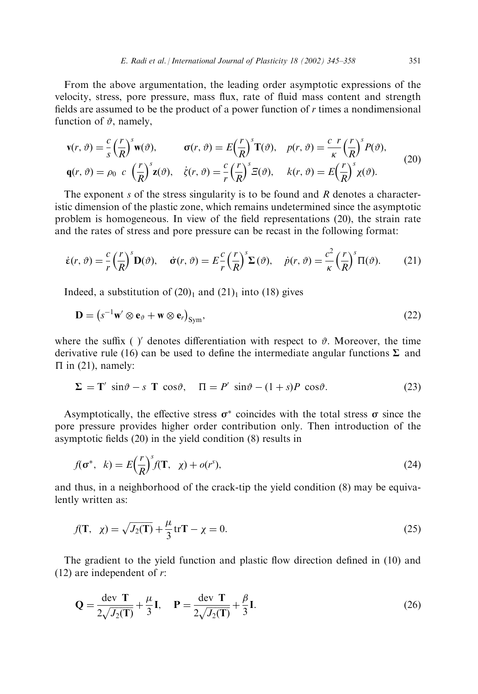From the above argumentation, the leading order asymptotic expressions of the velocity, stress, pore pressure, mass flux, rate of fluid mass content and strength fields are assumed to be the product of a power function of  $r$  times a nondimensional function of  $\vartheta$ , namely,

$$
\mathbf{v}(r,\vartheta) = \frac{c}{s} \left(\frac{r}{R}\right)^s \mathbf{w}(\vartheta), \qquad \mathbf{\sigma}(r,\vartheta) = E\left(\frac{r}{R}\right)^s \mathbf{T}(\vartheta), \quad p(r,\vartheta) = \frac{c}{\kappa} \left(\frac{r}{R}\right)^s P(\vartheta),
$$
  
\n
$$
\mathbf{q}(r,\vartheta) = \rho_0 \ c \left(\frac{r}{R}\right)^s \mathbf{z}(\vartheta), \quad \dot{\zeta}(r,\vartheta) = \frac{c}{r} \left(\frac{r}{R}\right)^s \mathbf{E}(\vartheta), \quad k(r,\vartheta) = E\left(\frac{r}{R}\right)^s \chi(\vartheta).
$$
\n(20)

The exponent s of the stress singularity is to be found and R denotes a characteristic dimension of the plastic zone, which remains undetermined since the asymptotic problem is homogeneous. In view of the field representations (20), the strain rate and the rates of stress and pore pressure can be recast in the following format:

$$
\dot{\varepsilon}(r,\vartheta) = \frac{c}{r} \left(\frac{r}{R}\right)^s \mathbf{D}(\vartheta), \quad \dot{\sigma}(r,\vartheta) = E \frac{c}{r} \left(\frac{r}{R}\right)^s \Sigma(\vartheta), \quad \dot{p}(r,\vartheta) = \frac{c^2}{\kappa} \left(\frac{r}{R}\right)^s \Pi(\vartheta). \tag{21}
$$

Indeed, a substitution of  $(20)_1$  and  $(21)_1$  into  $(18)$  gives

$$
\mathbf{D} = (s^{-1}\mathbf{w}' \otimes \mathbf{e}_{\vartheta} + \mathbf{w} \otimes \mathbf{e}_r)_{\text{Sym}},
$$
(22)

where the suffix ( $\gamma'$  denotes differentiation with respect to  $\vartheta$ . Moreover, the time derivative rule (16) can be used to define the intermediate angular functions  $\Sigma$  and  $\Pi$  in (21), namely:

$$
\Sigma = \mathbf{T}' \sin \vartheta - s \mathbf{T} \cos \vartheta, \quad \Pi = P' \sin \vartheta - (1+s)P \cos \vartheta. \tag{23}
$$

Asymptotically, the effective stress  $\sigma^*$  coincides with the total stress  $\sigma$  since the pore pressure provides higher order contribution only. Then introduction of the asymptotic fields  $(20)$  in the yield condition  $(8)$  results in

$$
f(\sigma^*, k) = E\left(\frac{r}{R}\right)^s f(\mathbf{T}, \chi) + o(r^s),\tag{24}
$$

and thus, in a neighborhood of the crack-tip the yield condition (8) may be equivalently written as:

$$
f(\mathbf{T}, \ \chi) = \sqrt{J_2(\mathbf{T})} + \frac{\mu}{3} \operatorname{tr} \mathbf{T} - \chi = 0. \tag{25}
$$

The gradient to the yield function and plastic flow direction defined in (10) and  $(12)$  are independent of r:

$$
\mathbf{Q} = \frac{\text{dev } \mathbf{T}}{2\sqrt{J_2(\mathbf{T})}} + \frac{\mu}{3} \mathbf{I}, \quad \mathbf{P} = \frac{\text{dev } \mathbf{T}}{2\sqrt{J_2(\mathbf{T})}} + \frac{\beta}{3} \mathbf{I}.
$$
 (26)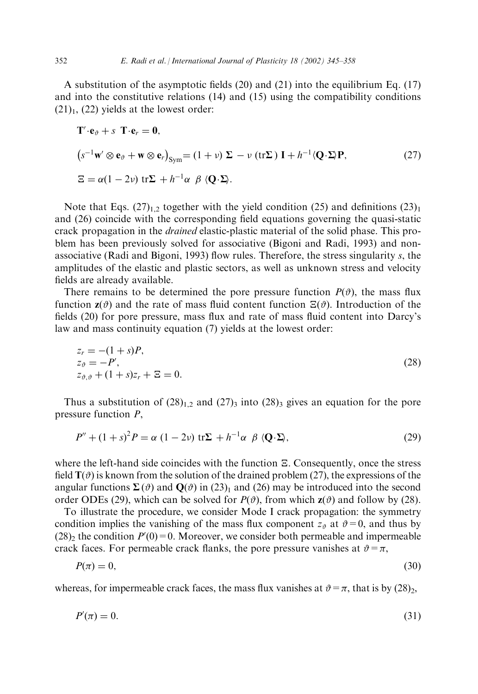A substitution of the asymptotic fields  $(20)$  and  $(21)$  into the equilibrium Eq.  $(17)$ and into the constitutive relations  $(14)$  and  $(15)$  using the compatibility conditions  $(21)$ <sub>1</sub>,  $(22)$  yields at the lowest order:

$$
\mathbf{T}' \cdot \mathbf{e}_{\vartheta} + s \mathbf{T} \cdot \mathbf{e}_r = \mathbf{0},
$$
  
\n
$$
(s^{-1} \mathbf{w}' \otimes \mathbf{e}_{\vartheta} + \mathbf{w} \otimes \mathbf{e}_r)_{\text{Sym}} = (1 + \nu) \Sigma - \nu (\text{tr} \Sigma) \mathbf{I} + h^{-1} \langle \mathbf{Q} \cdot \Sigma \rangle \mathbf{P},
$$
  
\n
$$
\Xi = \alpha (1 - 2\nu) \text{ tr} \Sigma + h^{-1} \alpha \beta \langle \mathbf{Q} \cdot \Sigma \rangle.
$$
 (27)

Note that Eqs.  $(27)_{1,2}$  together with the yield condition (25) and definitions  $(23)_1$ and (26) coincide with the corresponding field equations governing the quasi-static crack propagation in the *drained* elastic-plastic material of the solid phase. This problem has been previously solved for associative (Bigoni and Radi, 1993) and nonassociative (Radi and Bigoni, 1993) flow rules. Therefore, the stress singularity s, the amplitudes of the elastic and plastic sectors, as well as unknown stress and velocity fields are already available.

There remains to be determined the pore pressure function  $P(\vartheta)$ , the mass flux function  $z(\vartheta)$  and the rate of mass fluid content function  $\Xi(\vartheta)$ . Introduction of the fields (20) for pore pressure, mass flux and rate of mass fluid content into Darcy's law and mass continuity equation (7) yields at the lowest order:

$$
z_r = -(1+s)P,
$$
  
\n
$$
z_{\vartheta} = -P',
$$
  
\n
$$
z_{\vartheta, \vartheta} + (1+s)z_r + \Xi = 0.
$$
\n(28)

Thus a substitution of  $(28)_{1,2}$  and  $(27)_3$  into  $(28)_3$  gives an equation for the pore pressure function  $P$ ,

$$
P'' + (1+s)^2 P = \alpha (1-2\nu) \operatorname{tr} \Sigma + h^{-1} \alpha \beta \langle Q \cdot \Sigma \rangle, \tag{29}
$$

where the left-hand side coincides with the function  $\Xi$ . Consequently, once the stress field  $T(\theta)$  is known from the solution of the drained problem (27), the expressions of the angular functions  $\Sigma(\vartheta)$  and  $\mathbf{Q}(\vartheta)$  in (23)<sub>1</sub> and (26) may be introduced into the second order ODEs (29), which can be solved for  $P(\vartheta)$ , from which  $z(\vartheta)$  and follow by (28).

To illustrate the procedure, we consider Mode I crack propagation: the symmetry condition implies the vanishing of the mass flux component  $z_{\theta}$  at  $\theta = 0$ , and thus by  $(28)$ <sub>2</sub> the condition  $P'(0) = 0$ . Moreover, we consider both permeable and impermeable crack faces. For permeable crack flanks, the pore pressure vanishes at  $\vartheta = \pi$ ,

$$
P(\pi) = 0,\tag{30}
$$

whereas, for impermeable crack faces, the mass flux vanishes at  $\vartheta = \pi$ , that is by (28),

$$
P'(\pi) = 0.\tag{31}
$$

352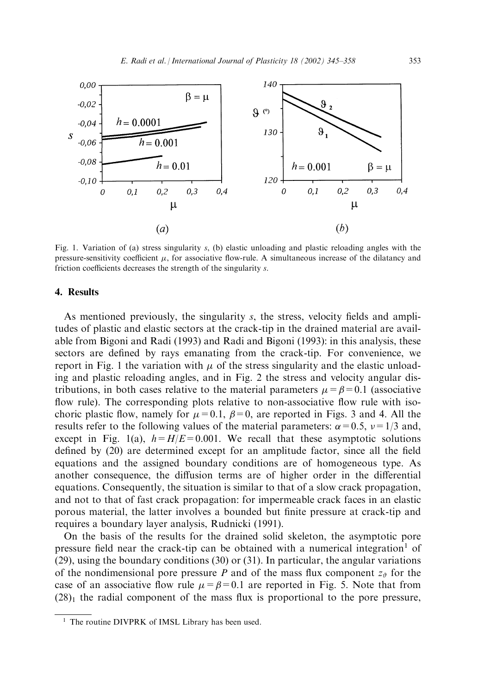

Fig. 1. Variation of (a) stress singularity s, (b) elastic unloading and plastic reloading angles with the pressure-sensitivity coefficient  $\mu$ , for associative flow-rule. A simultaneous increase of the dilatancy and friction coefficients decreases the strength of the singularity s.

# 4. Results

As mentioned previously, the singularity s, the stress, velocity fields and amplitudes of plastic and elastic sectors at the crack-tip in the drained material are available from Bigoni and Radi (1993) and Radi and Bigoni (1993): in this analysis, these sectors are defined by rays emanating from the crack-tip. For convenience, we report in Fig. 1 the variation with  $\mu$  of the stress singularity and the elastic unloading and plastic reloading angles, and in Fig. 2 the stress and velocity angular distributions, in both cases relative to the material parameters  $\mu = \beta = 0.1$  (associative flow rule). The corresponding plots relative to non-associative flow rule with isochoric plastic flow, namely for  $\mu = 0.1$ ,  $\beta = 0$ , are reported in Figs. 3 and 4. All the results refer to the following values of the material parameters:  $\alpha = 0.5$ ,  $\nu = 1/3$  and, except in Fig. 1(a),  $h = H/E = 0.001$ . We recall that these asymptotic solutions defined by (20) are determined except for an amplitude factor, since all the field equations and the assigned boundary conditions are of homogeneous type. As another consequence, the diffusion terms are of higher order in the differential equations. Consequently, the situation is similar to that of a slow crack propagation, and not to that of fast crack propagation: for impermeable crack faces in an elastic porous material, the latter involves a bounded but finite pressure at crack-tip and requires a boundary layer analysis, Rudnicki (1991).

On the basis of the results for the drained solid skeleton, the asymptotic pore pressure field near the crack-tip can be obtained with a numerical integration<sup>1</sup> of  $(29)$ , using the boundary conditions  $(30)$  or  $(31)$ . In particular, the angular variations of the nondimensional pore pressure P and of the mass flux component  $z_{\vartheta}$  for the case of an associative flow rule  $\mu = \beta = 0.1$  are reported in Fig. 5. Note that from  $(28)$ <sub>1</sub> the radial component of the mass flux is proportional to the pore pressure,

<sup>&</sup>lt;sup>1</sup> The routine DIVPRK of IMSL Library has been used.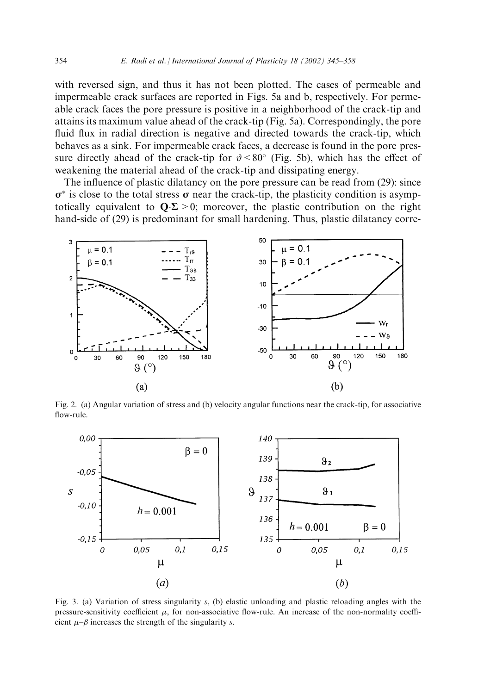with reversed sign, and thus it has not been plotted. The cases of permeable and impermeable crack surfaces are reported in Figs. 5a and b, respectively. For permeable crack faces the pore pressure is positive in a neighborhood of the crack-tip and attains its maximum value ahead of the crack-tip (Fig. 5a). Correspondingly, the pore fluid flux in radial direction is negative and directed towards the crack-tip, which behaves as a sink. For impermeable crack faces, a decrease is found in the pore pressure directly ahead of the crack-tip for  $\vartheta$  < 80° (Fig. 5b), which has the effect of weakening the material ahead of the crack-tip and dissipating energy.

The influence of plastic dilatancy on the pore pressure can be read from (29): since  $\sigma^*$  is close to the total stress  $\sigma$  near the crack-tip, the plasticity condition is asymptotically equivalent to  $\mathbf{Q} \cdot \mathbf{\Sigma} > 0$ ; moreover, the plastic contribution on the right hand-side of (29) is predominant for small hardening. Thus, plastic dilatancy corre-



Fig. 2. (a) Angular variation of stress and (b) velocity angular functions near the crack-tip, for associative flow-rule.



Fig. 3. (a) Variation of stress singularity s, (b) elastic unloading and plastic reloading angles with the pressure-sensitivity coefficient  $\mu$ , for non-associative flow-rule. An increase of the non-normality coefficient  $\mu$ - $\beta$  increases the strength of the singularity s.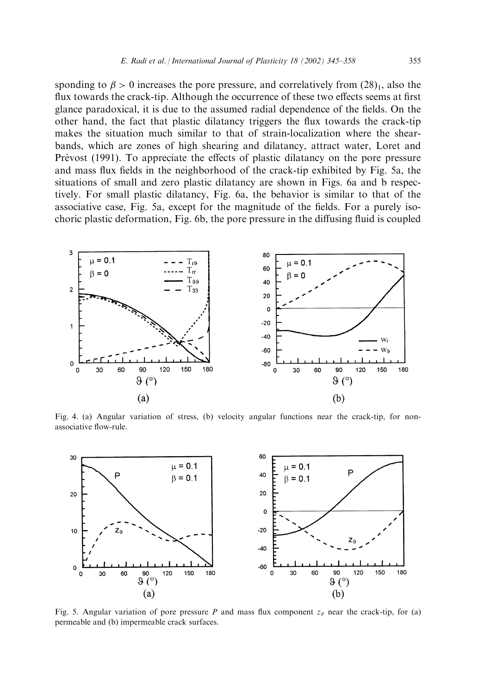sponding to  $\beta > 0$  increases the pore pressure, and correlatively from  $(28)_1$ , also the flux towards the crack-tip. Although the occurrence of these two effects seems at first glance paradoxical, it is due to the assumed radial dependence of the fields. On the other hand, the fact that plastic dilatancy triggers the flux towards the crack-tip makes the situation much similar to that of strain-localization where the shearbands, which are zones of high shearing and dilatancy, attract water, Loret and Prévost (1991). To appreciate the effects of plastic dilatancy on the pore pressure and mass flux fields in the neighborhood of the crack-tip exhibited by Fig. 5a, the situations of small and zero plastic dilatancy are shown in Figs. 6a and b respectively. For small plastic dilatancy, Fig. 6a, the behavior is similar to that of the associative case, Fig. 5a, except for the magnitude of the fields. For a purely isochoric plastic deformation, Fig. 6b, the pore pressure in the diffusing fluid is coupled



Fig. 4. (a) Angular variation of stress, (b) velocity angular functions near the crack-tip, for nonassociative flow-rule.



Fig. 5. Angular variation of pore pressure P and mass flux component  $z_{\vartheta}$  near the crack-tip, for (a) permeable and (b) impermeable crack surfaces.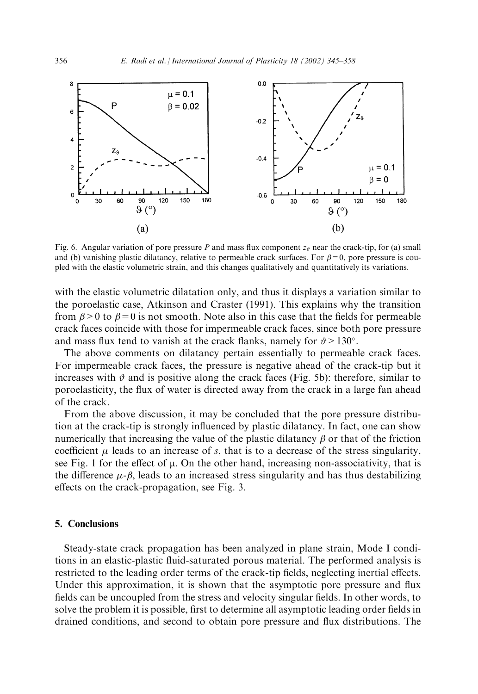

Fig. 6. Angular variation of pore pressure P and mass flux component  $z_{\vartheta}$  near the crack-tip, for (a) small and (b) vanishing plastic dilatancy, relative to permeable crack surfaces. For  $\beta = 0$ , pore pressure is coupled with the elastic volumetric strain, and this changes qualitatively and quantitatively its variations.

with the elastic volumetric dilatation only, and thus it displays a variation similar to the poroelastic case, Atkinson and Craster (1991). This explains why the transition from  $\beta > 0$  to  $\beta = 0$  is not smooth. Note also in this case that the fields for permeable crack faces coincide with those for impermeable crack faces, since both pore pressure and mass flux tend to vanish at the crack flanks, namely for  $\vartheta > 130^{\circ}$ .

The above comments on dilatancy pertain essentially to permeable crack faces. For impermeable crack faces, the pressure is negative ahead of the crack-tip but it increases with  $\vartheta$  and is positive along the crack faces (Fig. 5b): therefore, similar to poroelasticity, the flux of water is directed away from the crack in a large fan ahead of the crack.

From the above discussion, it may be concluded that the pore pressure distribution at the crack-tip is strongly influenced by plastic dilatancy. In fact, one can show numerically that increasing the value of the plastic dilatancy  $\beta$  or that of the friction coefficient  $\mu$  leads to an increase of s, that is to a decrease of the stress singularity, see Fig. 1 for the effect of  $\mu$ . On the other hand, increasing non-associativity, that is the difference  $\mu$ - $\beta$ , leads to an increased stress singularity and has thus destabilizing effects on the crack-propagation, see Fig. 3.

### 5. Conclusions

Steady-state crack propagation has been analyzed in plane strain, Mode I conditions in an elastic-plastic fluid-saturated porous material. The performed analysis is restricted to the leading order terms of the crack-tip fields, neglecting inertial effects. Under this approximation, it is shown that the asymptotic pore pressure and flux fields can be uncoupled from the stress and velocity singular fields. In other words, to solve the problem it is possible, first to determine all asymptotic leading order fields in drained conditions, and second to obtain pore pressure and flux distributions. The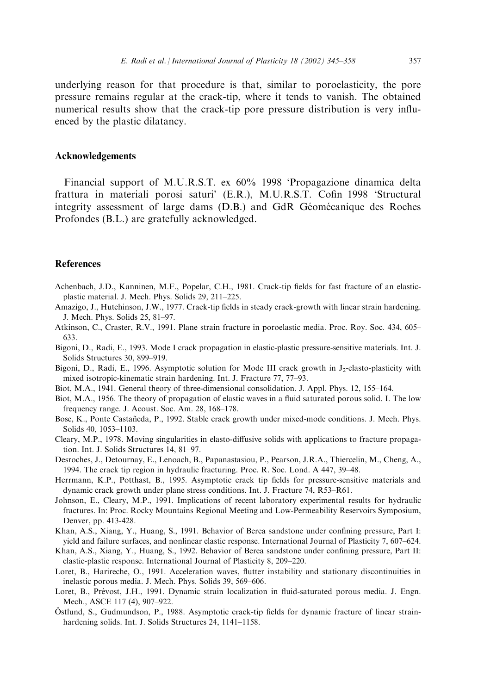underlying reason for that procedure is that, similar to poroelasticity, the pore pressure remains regular at the crack-tip, where it tends to vanish. The obtained numerical results show that the crack-tip pore pressure distribution is very influenced by the plastic dilatancy.

# **Acknowledgements**

Financial support of M.U.R.S.T. ex 60%–1998 'Propagazione dinamica delta frattura in materiali porosi saturi' (E.R.), M.U.R.S.T. Cofin–1998 'Structural integrity assessment of large dams (D.B.) and GdR Géomécanique des Roches Profondes (B.L.) are gratefully acknowledged.

# **References**

- Achenbach, J.D., Kanninen, M.F., Popelar, C.H., 1981. Crack-tip fields for fast fracture of an elasticplastic material. J. Mech. Phys. Solids 29, 211-225.
- Amazigo, J., Hutchinson, J.W., 1977. Crack-tip fields in steady crack-growth with linear strain hardening. J. Mech. Phys. Solids 25, 81-97.
- Atkinson, C., Craster, R.V., 1991. Plane strain fracture in poroelastic media. Proc. Roy. Soc. 434, 605-633.
- Bigoni, D., Radi, E., 1993. Mode I crack propagation in elastic-plastic pressure-sensitive materials. Int. J. Solids Structures 30, 899-919.
- Bigoni, D., Radi, E., 1996. Asymptotic solution for Mode III crack growth in  $J_2$ -elasto-plasticity with mixed isotropic-kinematic strain hardening. Int. J. Fracture 77, 77–93.
- Biot, M.A., 1941. General theory of three-dimensional consolidation. J. Appl. Phys. 12, 155–164.
- Biot, M.A., 1956. The theory of propagation of elastic waves in a fluid saturated porous solid. I. The low frequency range. J. Acoust. Soc. Am. 28, 168-178.
- Bose, K., Ponte Castañeda, P., 1992. Stable crack growth under mixed-mode conditions. J. Mech. Phys. Solids 40, 1053-1103.
- Cleary, M.P., 1978. Moving singularities in elasto-diffusive solids with applications to fracture propagation. Int. J. Solids Structures 14, 81-97.
- Desroches, J., Detournay, E., Lenoach, B., Papanastasiou, P., Pearson, J.R.A., Thiercelin, M., Cheng, A., 1994. The crack tip region in hydraulic fracturing. Proc. R. Soc. Lond. A 447, 39-48.
- Herrmann, K.P., Potthast, B., 1995. Asymptotic crack tip fields for pressure-sensitive materials and dynamic crack growth under plane stress conditions. Int. J. Fracture 74, R53–R61.
- Johnson, E., Cleary, M.P., 1991. Implications of recent laboratory experimental results for hydraulic fractures. In: Proc. Rocky Mountains Regional Meeting and Low-Permeability Reservoirs Symposium, Denver, pp. 413-428.
- Khan, A.S., Xiang, Y., Huang, S., 1991. Behavior of Berea sandstone under confining pressure, Part I: yield and failure surfaces, and nonlinear elastic response. International Journal of Plasticity 7, 607–624.
- Khan, A.S., Xiang, Y., Huang, S., 1992. Behavior of Berea sandstone under confining pressure, Part II: elastic-plastic response. International Journal of Plasticity 8, 209–220.
- Loret, B., Harireche, O., 1991. Acceleration waves, flutter instability and stationary discontinuities in inelastic porous media. J. Mech. Phys. Solids 39, 569-606.
- Loret, B., Prévost, J.H., 1991. Dynamic strain localization in fluid-saturated porous media. J. Engn. Mech., ASCE 117 (4), 907-922.
- Östlund, S., Gudmundson, P., 1988. Asymptotic crack-tip fields for dynamic fracture of linear strainhardening solids. Int. J. Solids Structures 24, 1141-1158.